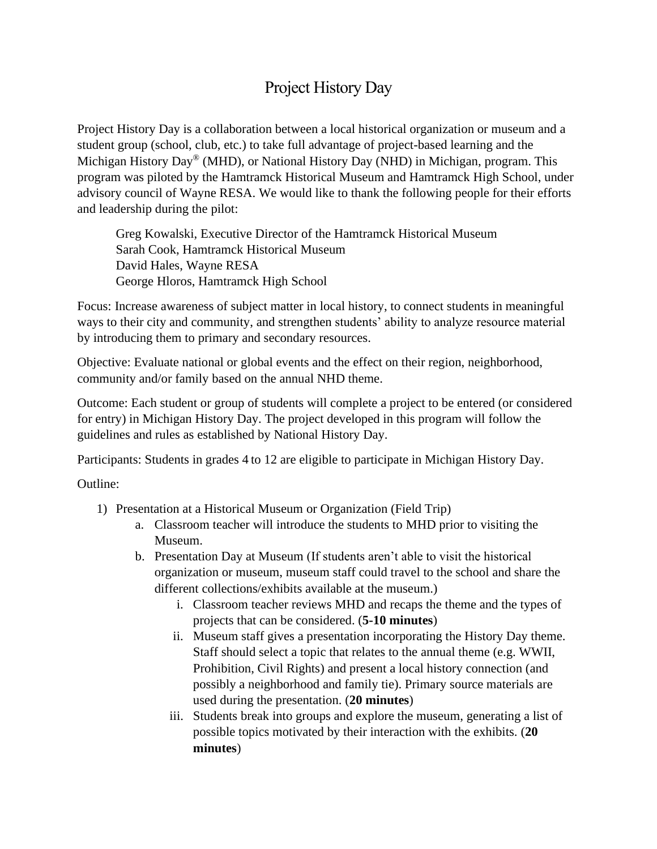## Project History Day

Project History Day is a collaboration between a local historical organization or museum and a student group (school, club, etc.) to take full advantage of project-based learning and the Michigan History Day® (MHD), or National History Day (NHD) in Michigan, program. This program was piloted by the Hamtramck Historical Museum and Hamtramck High School, under advisory council of Wayne RESA. We would like to thank the following people for their efforts and leadership during the pilot:

Greg Kowalski, Executive Director of the Hamtramck Historical Museum Sarah Cook, Hamtramck Historical Museum David Hales, Wayne RESA George Hloros, Hamtramck High School

Focus: Increase awareness of subject matter in local history, to connect students in meaningful ways to their city and community, and strengthen students' ability to analyze resource material by introducing them to primary and secondary resources.

Objective: Evaluate national or global events and the effect on their region, neighborhood, community and/or family based on the annual NHD theme.

Outcome: Each student or group of students will complete a project to be entered (or considered for entry) in Michigan History Day. The project developed in this program will follow the guidelines and rules as established by National History Day.

Participants: Students in grades 4 to 12 are eligible to participate in Michigan History Day.

Outline:

- 1) Presentation at a Historical Museum or Organization (Field Trip)
	- a. Classroom teacher will introduce the students to MHD prior to visiting the Museum.
	- b. Presentation Day at Museum (If students aren't able to visit the historical organization or museum, museum staff could travel to the school and share the different collections/exhibits available at the museum.)
		- i. Classroom teacher reviews MHD and recaps the theme and the types of projects that can be considered. (**5-10 minutes**)
		- ii. Museum staff gives a presentation incorporating the History Day theme. Staff should select a topic that relates to the annual theme (e.g. WWII, Prohibition, Civil Rights) and present a local history connection (and possibly a neighborhood and family tie). Primary source materials are used during the presentation. (**20 minutes**)
		- iii. Students break into groups and explore the museum, generating a list of possible topics motivated by their interaction with the exhibits. (**20 minutes**)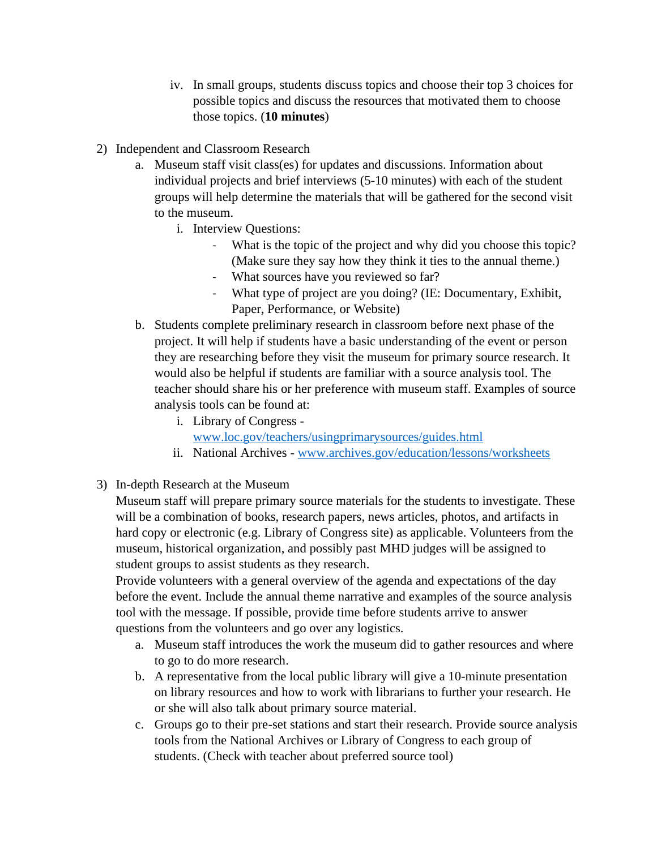- iv. In small groups, students discuss topics and choose their top 3 choices for possible topics and discuss the resources that motivated them to choose those topics. (**10 minutes**)
- 2) Independent and Classroom Research
	- a. Museum staff visit class(es) for updates and discussions. Information about individual projects and brief interviews (5-10 minutes) with each of the student groups will help determine the materials that will be gathered for the second visit to the museum.
		- i. Interview Questions:
			- What is the topic of the project and why did you choose this topic? (Make sure they say how they think it ties to the annual theme.)
			- What sources have you reviewed so far?
			- What type of project are you doing? (IE: Documentary, Exhibit, Paper, Performance, or Website)
	- b. Students complete preliminary research in classroom before next phase of the project. It will help if students have a basic understanding of the event or person they are researching before they visit the museum for primary source research. It would also be helpful if students are familiar with a source analysis tool. The teacher should share his or her preference with museum staff. Examples of source analysis tools can be found at:
		- i. Library of Congress [www.loc.gov/teachers/usingprimarysources/guides.html](http://www.loc.gov/teachers/usingprimarysources/guides.html)
		- ii. National Archives [www.archives.gov/education/lessons/worksheets](https://www.archives.gov/education/lessons/worksheets)
- 3) In-depth Research at the Museum

Museum staff will prepare primary source materials for the students to investigate. These will be a combination of books, research papers, news articles, photos, and artifacts in hard copy or electronic (e.g. Library of Congress site) as applicable. Volunteers from the museum, historical organization, and possibly past MHD judges will be assigned to student groups to assist students as they research.

Provide volunteers with a general overview of the agenda and expectations of the day before the event. Include the annual theme narrative and examples of the source analysis tool with the message. If possible, provide time before students arrive to answer questions from the volunteers and go over any logistics.

- a. Museum staff introduces the work the museum did to gather resources and where to go to do more research.
- b. A representative from the local public library will give a 10-minute presentation on library resources and how to work with librarians to further your research. He or she will also talk about primary source material.
- c. Groups go to their pre-set stations and start their research. Provide source analysis tools from the National Archives or Library of Congress to each group of students. (Check with teacher about preferred source tool)